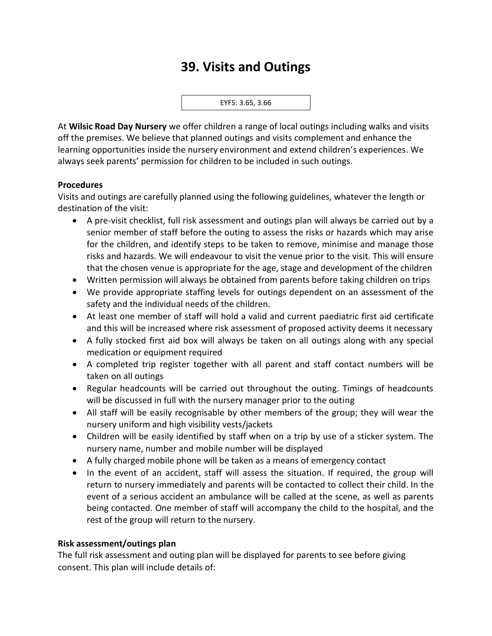# **39. Visits and Outings**

EYFS: 3.65, 3.66

At **Wilsic Road Day Nursery** we offer children a range of local outings including walks and visits off the premises. We believe that planned outings and visits complement and enhance the learning opportunities inside the nursery environment and extend children's experiences. We always seek parents' permission for children to be included in such outings.

## **Procedures**

Visits and outings are carefully planned using the following guidelines, whatever the length or destination of the visit:

- A pre-visit checklist, full risk assessment and outings plan will always be carried out by a senior member of staff before the outing to assess the risks or hazards which may arise for the children, and identify steps to be taken to remove, minimise and manage those risks and hazards. We will endeavour to visit the venue prior to the visit. This will ensure that the chosen venue is appropriate for the age, stage and development of the children
- Written permission will always be obtained from parents before taking children on trips
- We provide appropriate staffing levels for outings dependent on an assessment of the safety and the individual needs of the children.
- At least one member of staff will hold a valid and current paediatric first aid certificate and this will be increased where risk assessment of proposed activity deems it necessary
- A fully stocked first aid box will always be taken on all outings along with any special medication or equipment required
- A completed trip register together with all parent and staff contact numbers will be taken on all outings
- Regular headcounts will be carried out throughout the outing. Timings of headcounts will be discussed in full with the nursery manager prior to the outing
- All staff will be easily recognisable by other members of the group; they will wear the nursery uniform and high visibility vests/jackets
- Children will be easily identified by staff when on a trip by use of a sticker system. The nursery name, number and mobile number will be displayed
- A fully charged mobile phone will be taken as a means of emergency contact
- In the event of an accident, staff will assess the situation. If required, the group will return to nursery immediately and parents will be contacted to collect their child. In the event of a serious accident an ambulance will be called at the scene, as well as parents being contacted. One member of staff will accompany the child to the hospital, and the rest of the group will return to the nursery.

### **Risk assessment/outings plan**

The full risk assessment and outing plan will be displayed for parents to see before giving consent. This plan will include details of: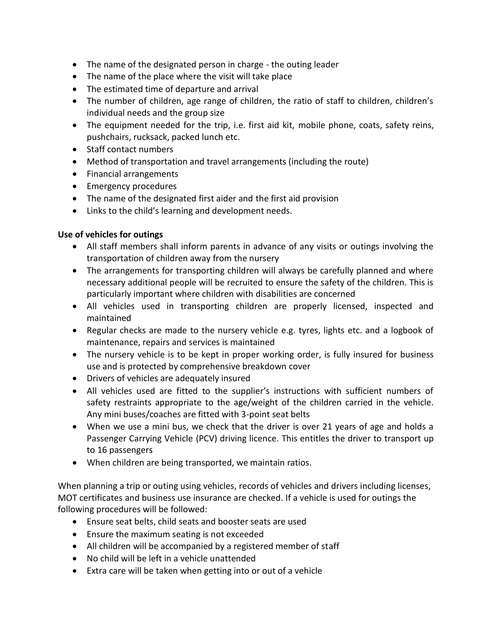- The name of the designated person in charge the outing leader
- The name of the place where the visit will take place
- The estimated time of departure and arrival
- The number of children, age range of children, the ratio of staff to children, children's individual needs and the group size
- The equipment needed for the trip, i.e. first aid kit, mobile phone, coats, safety reins, pushchairs, rucksack, packed lunch etc.
- Staff contact numbers
- Method of transportation and travel arrangements (including the route)
- Financial arrangements
- Emergency procedures
- The name of the designated first aider and the first aid provision
- Links to the child's learning and development needs.

# **Use of vehicles for outings**

- All staff members shall inform parents in advance of any visits or outings involving the transportation of children away from the nursery
- The arrangements for transporting children will always be carefully planned and where necessary additional people will be recruited to ensure the safety of the children. This is particularly important where children with disabilities are concerned
- All vehicles used in transporting children are properly licensed, inspected and maintained
- Regular checks are made to the nursery vehicle e.g. tyres, lights etc. and a logbook of maintenance, repairs and services is maintained
- The nursery vehicle is to be kept in proper working order, is fully insured for business use and is protected by comprehensive breakdown cover
- Drivers of vehicles are adequately insured
- All vehicles used are fitted to the supplier's instructions with sufficient numbers of safety restraints appropriate to the age/weight of the children carried in the vehicle. Any mini buses/coaches are fitted with 3-point seat belts
- When we use a mini bus, we check that the driver is over 21 years of age and holds a Passenger Carrying Vehicle (PCV) driving licence. This entitles the driver to transport up to 16 passengers
- When children are being transported, we maintain ratios.

When planning a trip or outing using vehicles, records of vehicles and drivers including licenses, MOT certificates and business use insurance are checked. If a vehicle is used for outings the following procedures will be followed:

- Ensure seat belts, child seats and booster seats are used
- Ensure the maximum seating is not exceeded
- All children will be accompanied by a registered member of staff
- No child will be left in a vehicle unattended
- Extra care will be taken when getting into or out of a vehicle